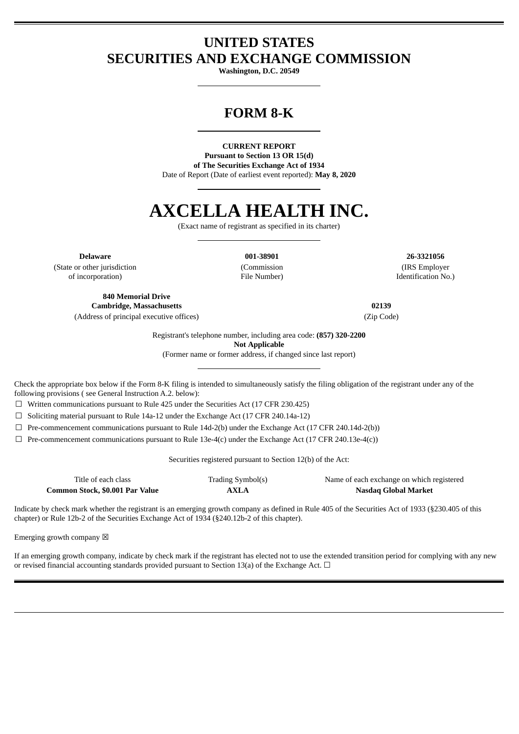## **UNITED STATES SECURITIES AND EXCHANGE COMMISSION**

**Washington, D.C. 20549**

## **FORM 8-K**

**CURRENT REPORT Pursuant to Section 13 OR 15(d) of The Securities Exchange Act of 1934** Date of Report (Date of earliest event reported): **May 8, 2020**

# **AXCELLA HEALTH INC.**

(Exact name of registrant as specified in its charter)

(State or other jurisdiction of incorporation)

(Commission File Number)

**Delaware 001-38901 26-3321056** (IRS Employer Identification No.)

**840 Memorial Drive Cambridge, Massachusetts 02139** (Address of principal executive offices) (Zip Code)

Registrant's telephone number, including area code: **(857) 320-2200 Not Applicable**

(Former name or former address, if changed since last report)

Check the appropriate box below if the Form 8-K filing is intended to simultaneously satisfy the filing obligation of the registrant under any of the following provisions ( see General Instruction A.2. below):

☐ Written communications pursuant to Rule 425 under the Securities Act (17 CFR 230.425)

 $\Box$  Soliciting material pursuant to Rule 14a-12 under the Exchange Act (17 CFR 240.14a-12)

 $\Box$  Pre-commencement communications pursuant to Rule 14d-2(b) under the Exchange Act (17 CFR 240.14d-2(b))

 $\Box$  Pre-commencement communications pursuant to Rule 13e-4(c) under the Exchange Act (17 CFR 240.13e-4(c))

Securities registered pursuant to Section 12(b) of the Act:

| Title of each class             | Trading Symbol(s) | Name of each exchange on which registered |
|---------------------------------|-------------------|-------------------------------------------|
| Common Stock, \$0.001 Par Value | <b>AXLA</b>       | Nasdaq Global Market                      |

Indicate by check mark whether the registrant is an emerging growth company as defined in Rule 405 of the Securities Act of 1933 (§230.405 of this chapter) or Rule 12b-2 of the Securities Exchange Act of 1934 (§240.12b-2 of this chapter).

Emerging growth company  $\boxtimes$ 

If an emerging growth company, indicate by check mark if the registrant has elected not to use the extended transition period for complying with any new or revised financial accounting standards provided pursuant to Section 13(a) of the Exchange Act.  $\Box$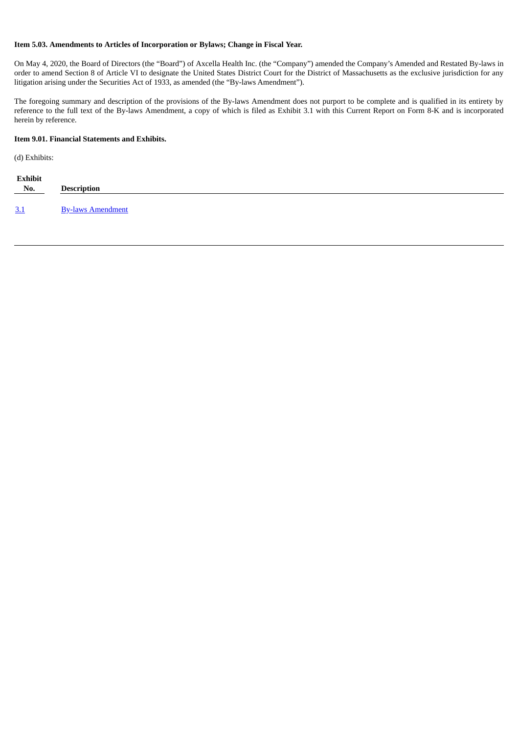#### **Item 5.03. Amendments to Articles of Incorporation or Bylaws; Change in Fiscal Year.**

On May 4, 2020, the Board of Directors (the "Board") of Axcella Health Inc. (the "Company") amended the Company's Amended and Restated By-laws in order to amend Section 8 of Article VI to designate the United States District Court for the District of Massachusetts as the exclusive jurisdiction for any litigation arising under the Securities Act of 1933, as amended (the "By-laws Amendment").

The foregoing summary and description of the provisions of the By-laws Amendment does not purport to be complete and is qualified in its entirety by reference to the full text of the By-laws Amendment, a copy of which is filed as Exhibit 3.1 with this Current Report on Form 8-K and is incorporated herein by reference.

#### **Item 9.01. Financial Statements and Exhibits.**

(d) Exhibits:

| Exhibit<br>$N_0$ . | <b>Description</b>       |
|--------------------|--------------------------|
| 3.1                | <b>By-laws Amendment</b> |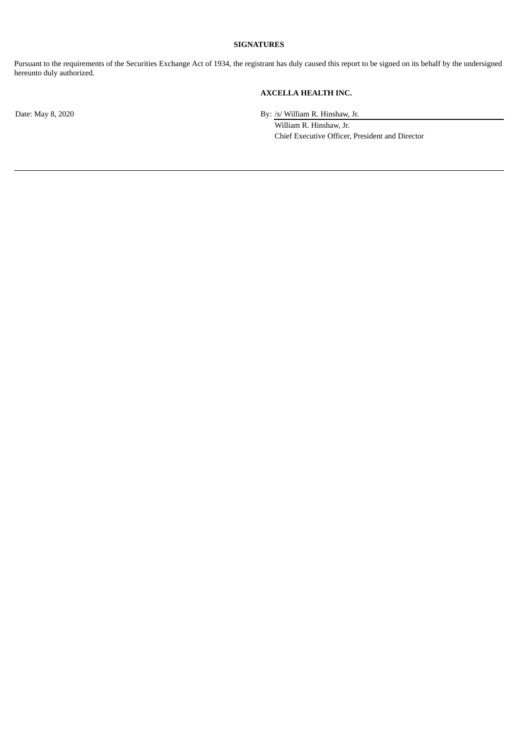#### **SIGNATURES**

Pursuant to the requirements of the Securities Exchange Act of 1934, the registrant has duly caused this report to be signed on its behalf by the undersigned hereunto duly authorized.

### **AXCELLA HEALTH INC.**

Date: May 8, 2020 By: /s/ William R. Hinshaw, Jr.

William R. Hinshaw, Jr. Chief Executive Officer, President and Director